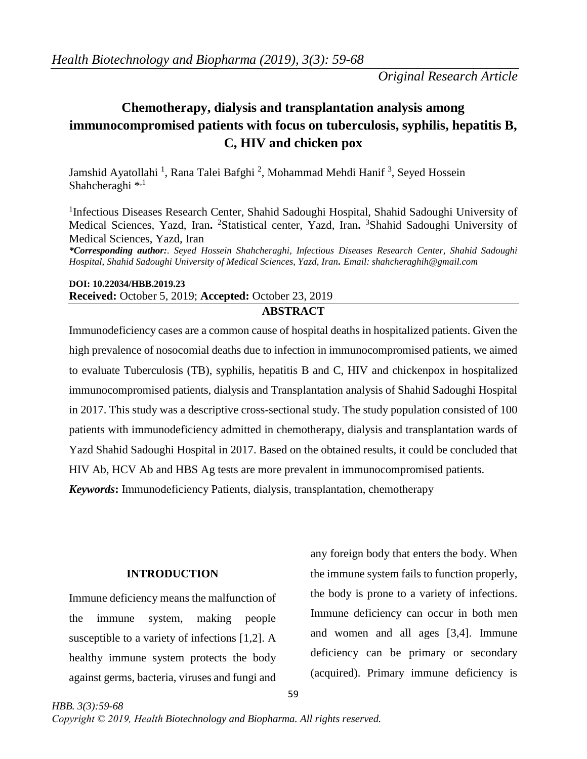*Original Research Article*

# **Chemotherapy, dialysis and transplantation analysis among immunocompromised patients with focus on tuberculosis, syphilis, hepatitis B, C, HIV and chicken pox**

Jamshid Ayatollahi<sup>1</sup>, Rana Talei Bafghi<sup>2</sup>, Mohammad Mehdi Hanif<sup>3</sup>, Seyed Hossein Shahcheraghi<sup>\*,1</sup>

<sup>1</sup>Infectious Diseases Research Center, Shahid Sadoughi Hospital, Shahid Sadoughi University of Medical Sciences, Yazd, Iran**.**  <sup>2</sup>Statistical center, Yazd, Iran**.**  <sup>3</sup>Shahid Sadoughi University of Medical Sciences, Yazd, Iran

*\*Corresponding author:. Seyed Hossein Shahcheraghi, Infectious Diseases Research Center, Shahid Sadoughi Hospital, Shahid Sadoughi University of Medical Sciences, Yazd, Iran. Email: shahcheraghih@gmail.com*

# **DOI: 10.22034/HBB.2019.23 Received:** October 5, 2019; **Accepted:** October 23, 2019

# **ABSTRACT**

Immunodeficiency cases are a common cause of hospital deaths in hospitalized patients. Given the high prevalence of nosocomial deaths due to infection in immunocompromised patients, we aimed to evaluate Tuberculosis (TB), syphilis, hepatitis B and C, HIV and chickenpox in hospitalized immunocompromised patients, dialysis and Transplantation analysis of Shahid Sadoughi Hospital in 2017. This study was a descriptive cross-sectional study. The study population consisted of 100 patients with immunodeficiency admitted in chemotherapy, dialysis and transplantation wards of Yazd Shahid Sadoughi Hospital in 2017. Based on the obtained results, it could be concluded that HIV Ab, HCV Ab and HBS Ag tests are more prevalent in immunocompromised patients.

*Keywords***:** Immunodeficiency Patients, dialysis, transplantation, chemotherapy

# **INTRODUCTION**

Immune deficiency means the malfunction of the immune system, making people susceptible to a variety of infections [1,2]. A healthy immune system protects the body against germs, bacteria, viruses and fungi and

any foreign body that enters the body. When the immune system fails to function properly, the body is prone to a variety of infections. Immune deficiency can occur in both men and women and all ages [3,4]. Immune deficiency can be primary or secondary (acquired). Primary immune deficiency is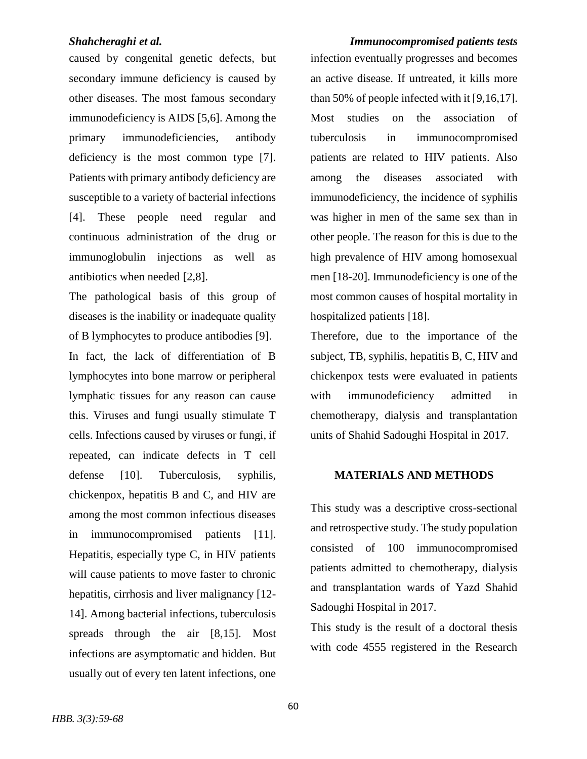caused by congenital genetic defects, but secondary immune deficiency is caused by other diseases. The most famous secondary immunodeficiency is AIDS [5,6]. Among the primary immunodeficiencies, antibody deficiency is the most common type [7]. Patients with primary antibody deficiency are susceptible to a variety of bacterial infections [4]. These people need regular and continuous administration of the drug or immunoglobulin injections as well as antibiotics when needed [2,8].

The pathological basis of this group of diseases is the inability or inadequate quality of B lymphocytes to produce antibodies [9]. In fact, the lack of differentiation of B lymphocytes into bone marrow or peripheral lymphatic tissues for any reason can cause this. Viruses and fungi usually stimulate T cells. Infections caused by viruses or fungi, if repeated, can indicate defects in T cell defense [10]. Tuberculosis, syphilis, chickenpox, hepatitis B and C, and HIV are among the most common infectious diseases in immunocompromised patients [11]. Hepatitis, especially type C, in HIV patients will cause patients to move faster to chronic hepatitis, cirrhosis and liver malignancy [12--] 14]. Among bacterial infections, tuberculosis spreads through the air [8,15]. Most infections are asymptomatic and hidden. But usually out of every ten latent infections, one

*Shahcheraghi et al. Immunocompromised patients tests* infection eventually progresses and becomes an active disease. If untreated, it kills more than 50% of people infected with it [9,16,17]. Most studies on the association of tuberculosis in immunocompromised patients are related to HIV patients. Also among the diseases associated with immunodeficiency, the incidence of syphilis was higher in men of the same sex than in other people. The reason for this is due to the high prevalence of HIV among homosexual men [18-20]. Immunodeficiency is one of the most common causes of hospital mortality in hospitalized patients [18].

> Therefore, due to the importance of the subject, TB, syphilis, hepatitis B, C, HIV and chickenpox tests were evaluated in patients with immunodeficiency admitted in chemotherapy, dialysis and transplantation units of Shahid Sadoughi Hospital in 2017.

# **MATERIALS AND METHODS**

This study was a descriptive cross-sectional and retrospective study. The study population consisted of 100 immunocompromised patients admitted to chemotherapy, dialysis and transplantation wards of Yazd Shahid Sadoughi Hospital in 2017.

This study is the result of a doctoral thesis with code 4555 registered in the Research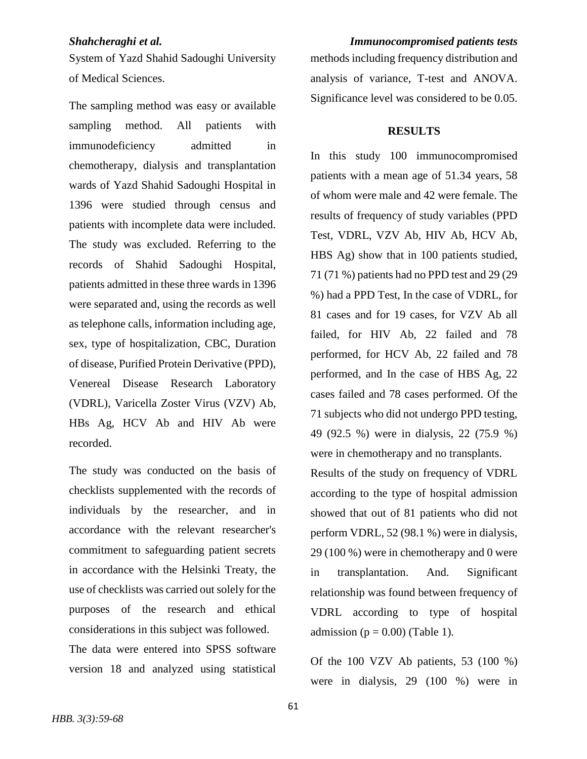System of Yazd Shahid Sadoughi University of Medical Sciences.

The sampling method was easy or available sampling method. All patients with immunodeficiency admitted in chemotherapy, dialysis and transplantation wards of Yazd Shahid Sadoughi Hospital in 1396 were studied through census and patients with incomplete data were included. The study was excluded. Referring to the records of Shahid Sadoughi Hospital, patients admitted in these three wards in 1396 were separated and, using the records as well as telephone calls, information including age, sex, type of hospitalization, CBC, Duration of disease, Purified Protein Derivative (PPD), Venereal Disease Research Laboratory (VDRL), Varicella Zoster Virus (VZV) Ab, HBs Ag, HCV Ab and HIV Ab were recorded.

The study was conducted on the basis of checklists supplemented with the records of individuals by the researcher, and in accordance with the relevant researcher's commitment to safeguarding patient secrets in accordance with the Helsinki Treaty, the use of checklists was carried out solely for the purposes of the research and ethical considerations in this subject was followed. The data were entered into SPSS software version 18 and analyzed using statistical

*Shahcheraghi et al. Immunocompromised patients tests* methods including frequency distribution and analysis of variance, T-test and ANOVA. Significance level was considered to be 0.05.

### **RESULTS**

In this study 100 immunocompromised patients with a mean age of 51.34 years, 58 of whom were male and 42 were female. The results of frequency of study variables (PPD Test, VDRL, VZV Ab, HIV Ab, HCV Ab, HBS Ag) show that in 100 patients studied, 71 (71 %) patients had no PPD test and 29 (29 %) had a PPD Test, In the case of VDRL, for 81 cases and for 19 cases, for VZV Ab all failed, for HIV Ab, 22 failed and 78 performed, for HCV Ab, 22 failed and 78 performed, and In the case of HBS Ag, 22 cases failed and 78 cases performed. Of the 71 subjects who did not undergo PPD testing, 49 (92.5 %) were in dialysis, 22 (75.9 %) were in chemotherapy and no transplants.

Results of the study on frequency of VDRL according to the type of hospital admission showed that out of 81 patients who did not perform VDRL, 52 (98.1 %) were in dialysis, 29 (100 %) were in chemotherapy and 0 were in transplantation. And. Significant relationship was found between frequency of VDRL according to type of hospital admission ( $p = 0.00$ ) (Table 1).

Of the 100 VZV Ab patients, 53 (100 %) were in dialysis, 29 (100 %) were in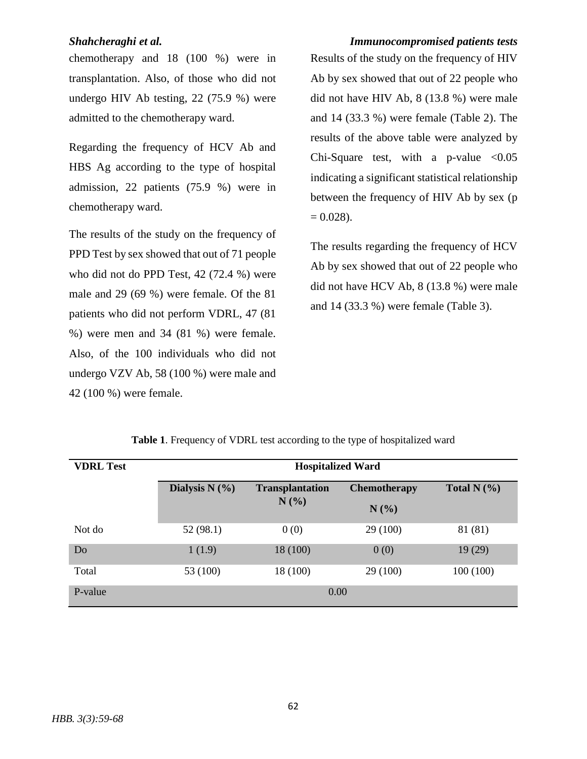chemotherapy and 18 (100 %) were in transplantation. Also, of those who did not undergo HIV Ab testing, 22 (75.9 %) were admitted to the chemotherapy ward.

Regarding the frequency of HCV Ab and HBS Ag according to the type of hospital admission, 22 patients (75.9 %) were in chemotherapy ward.

The results of the study on the frequency of PPD Test by sex showed that out of 71 people who did not do PPD Test, 42 (72.4 %) were male and 29 (69 %) were female. Of the 81 patients who did not perform VDRL, 47 (81 %) were men and 34 (81 %) were female. Also, of the 100 individuals who did not undergo VZV Ab, 58 (100 %) were male and 42 (100 %) were female.

*Shahcheraghi et al. Immunocompromised patients tests* Results of the study on the frequency of HIV Ab by sex showed that out of 22 people who did not have HIV Ab, 8 (13.8 %) were male and 14 (33.3 %) were female (Table 2). The results of the above table were analyzed by Chi-Square test, with a p-value  $< 0.05$ indicating a significant statistical relationship between the frequency of HIV Ab by sex (p  $= 0.028$ ).

> The results regarding the frequency of HCV Ab by sex showed that out of 22 people who did not have HCV Ab, 8 (13.8 %) were male and 14 (33.3 %) were female (Table 3).

| <b>VDRL Test</b> | <b>Hospitalized Ward</b> |                                   |                                |               |
|------------------|--------------------------|-----------------------------------|--------------------------------|---------------|
|                  | Dialysis $N$ (%)         | <b>Transplantation</b><br>$N(\%)$ | <b>Chemotherapy</b><br>$N(\%)$ | Total $N$ (%) |
|                  |                          |                                   |                                |               |
| Not do           | 52 (98.1)                | 0(0)                              | 29 (100)                       | 81 (81)       |
| Do               | 1(1.9)                   | 18 (100)                          | 0(0)                           | 19(29)        |
| Total            | 53 (100)                 | 18 (100)                          | 29 (100)                       | 100(100)      |
| P-value          | 0.00                     |                                   |                                |               |

**Table 1**. Frequency of VDRL test according to the type of hospitalized ward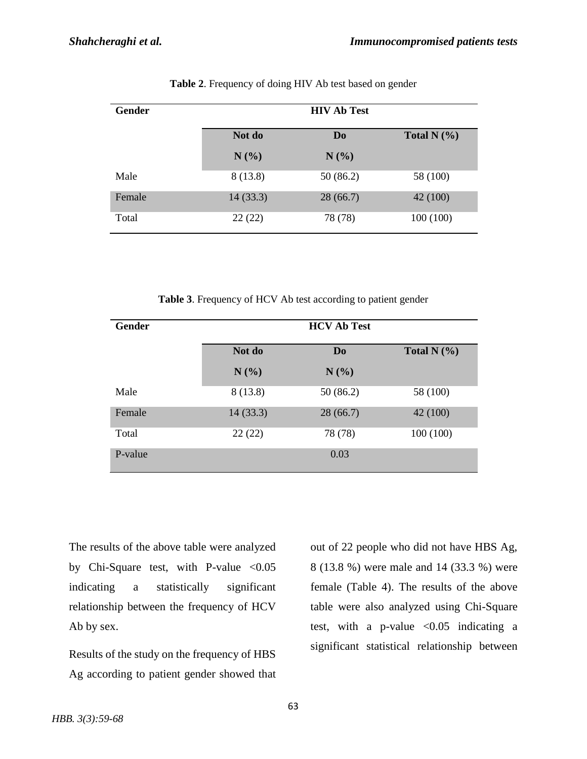| Gender | <b>HIV Ab Test</b> |                |                 |  |
|--------|--------------------|----------------|-----------------|--|
|        | Not do             | D <sub>0</sub> | Total N $(\% )$ |  |
|        | $N(\%)$            | $N(\%)$        |                 |  |
| Male   | 8(13.8)            | 50 (86.2)      | 58 (100)        |  |
| Female | 14(33.3)           | 28(66.7)       | 42 (100)        |  |
| Total  | 22(22)             | 78 (78)        | 100(100)        |  |

**Table 2**. Frequency of doing HIV Ab test based on gender

**Table 3**. Frequency of HCV Ab test according to patient gender

| <b>Gender</b> | <b>HCV Ab Test</b> |                |                  |  |
|---------------|--------------------|----------------|------------------|--|
|               | Not do             | D <sub>0</sub> | Total $N$ $(\%)$ |  |
|               | $N(\%)$            | N(%)           |                  |  |
| Male          | 8(13.8)            | 50(86.2)       | 58 (100)         |  |
| Female        | 14(33.3)           | 28(66.7)       | 42 (100)         |  |
| Total         | 22(22)             | 78 (78)        | 100(100)         |  |
| P-value       |                    | 0.03           |                  |  |

The results of the above table were analyzed by Chi-Square test, with P-value <0.05 indicating a statistically significant relationship between the frequency of HCV Ab by sex.

Results of the study on the frequency of HBS Ag according to patient gender showed that out of 22 people who did not have HBS Ag, 8 (13.8 %) were male and 14 (33.3 %) were female (Table 4). The results of the above table were also analyzed using Chi-Square test, with a p-value  $< 0.05$  indicating a significant statistical relationship between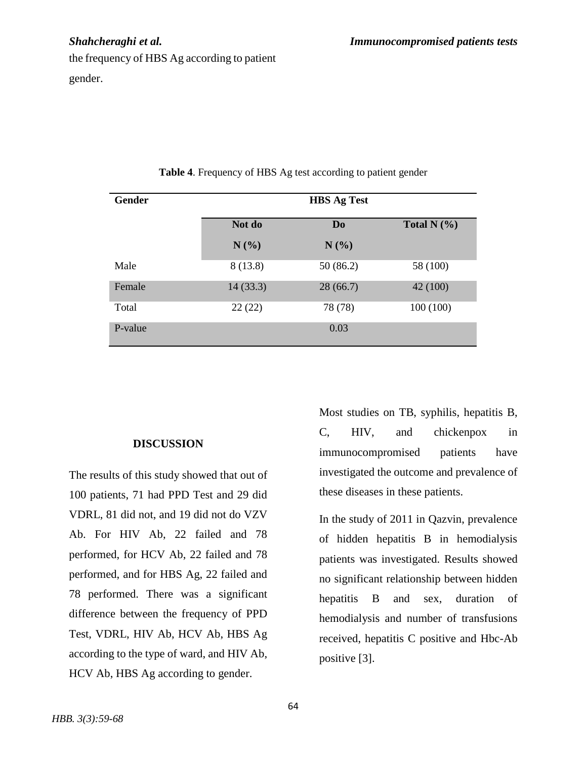the frequency of HBS Ag according to patient gender.

| Gender  | <b>HBS Ag Test</b> |                |                 |  |
|---------|--------------------|----------------|-----------------|--|
|         | Not do             | D <sub>0</sub> | Total N $(\% )$ |  |
|         | $N(\%)$            | N(%)           |                 |  |
| Male    | 8(13.8)            | 50 (86.2)      | 58 (100)        |  |
| Female  | 14(33.3)           | 28(66.7)       | 42 (100)        |  |
| Total   | 22(22)             | 78 (78)        | 100(100)        |  |
| P-value |                    | 0.03           |                 |  |

**Table 4**. Frequency of HBS Ag test according to patient gender

# **DISCUSSION**

The results of this study showed that out of 100 patients, 71 had PPD Test and 29 did VDRL, 81 did not, and 19 did not do VZV Ab. For HIV Ab, 22 failed and 78 performed, for HCV Ab, 22 failed and 78 performed, and for HBS Ag, 22 failed and 78 performed. There was a significant difference between the frequency of PPD Test, VDRL, HIV Ab, HCV Ab, HBS Ag according to the type of ward, and HIV Ab, HCV Ab, HBS Ag according to gender.

Most studies on TB, syphilis, hepatitis B, C, HIV, and chickenpox in immunocompromised patients have investigated the outcome and prevalence of these diseases in these patients.

In the study of 2011 in Qazvin, prevalence of hidden hepatitis B in hemodialysis patients was investigated. Results showed no significant relationship between hidden hepatitis B and sex, duration of hemodialysis and number of transfusions received, hepatitis C positive and Hbc-Ab positive [3].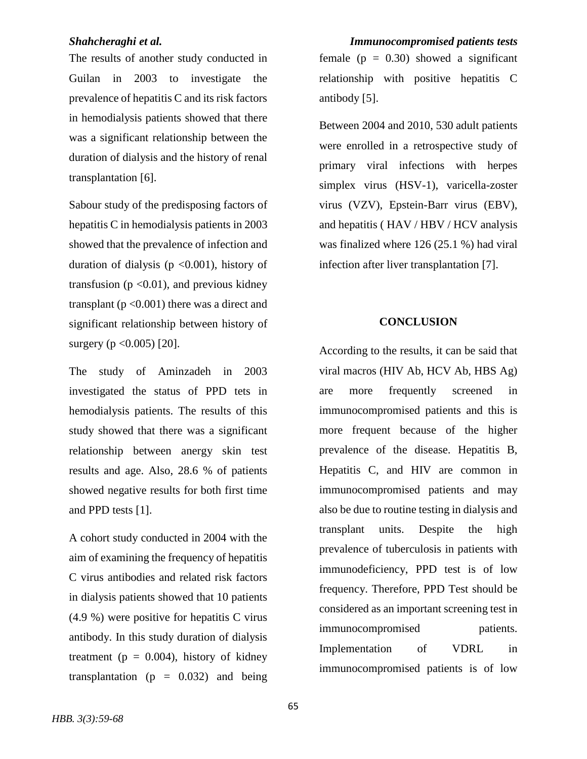The results of another study conducted in Guilan in 2003 to investigate the prevalence of hepatitis C and its risk factors in hemodialysis patients showed that there was a significant relationship between the duration of dialysis and the history of renal transplantation [6].

Sabour study of the predisposing factors of hepatitis C in hemodialysis patients in 2003 showed that the prevalence of infection and duration of dialysis ( $p \le 0.001$ ), history of transfusion ( $p \le 0.01$ ), and previous kidney transplant ( $p < 0.001$ ) there was a direct and significant relationship between history of surgery ( $p < 0.005$ ) [20].

The study of Aminzadeh in 2003 investigated the status of PPD tets in hemodialysis patients. The results of this study showed that there was a significant relationship between anergy skin test results and age. Also, 28.6 % of patients showed negative results for both first time and PPD tests [1].

A cohort study conducted in 2004 with the aim of examining the frequency of hepatitis C virus antibodies and related risk factors in dialysis patients showed that 10 patients (4.9 %) were positive for hepatitis C virus antibody. In this study duration of dialysis treatment ( $p = 0.004$ ), history of kidney transplantation ( $p = 0.032$ ) and being

*Shahcheraghi et al. Immunocompromised patients tests* female  $(p = 0.30)$  showed a significant relationship with positive hepatitis C antibody [5].

> Between 2004 and 2010, 530 adult patients were enrolled in a retrospective study of primary viral infections with herpes simplex virus (HSV-1), varicella-zoster virus (VZV), Epstein-Barr virus (EBV), and hepatitis (HAV / HBV / HCV analysis was finalized where 126 (25.1 %) had viral infection after liver transplantation [7].

### **CONCLUSION**

According to the results, it can be said that viral macros (HIV Ab, HCV Ab, HBS Ag) are more frequently screened in immunocompromised patients and this is more frequent because of the higher prevalence of the disease. Hepatitis B, Hepatitis C, and HIV are common in immunocompromised patients and may also be due to routine testing in dialysis and transplant units. Despite the high prevalence of tuberculosis in patients with immunodeficiency, PPD test is of low frequency. Therefore, PPD Test should be considered as an important screening test in immunocompromised patients. Implementation of VDRL in immunocompromised patients is of low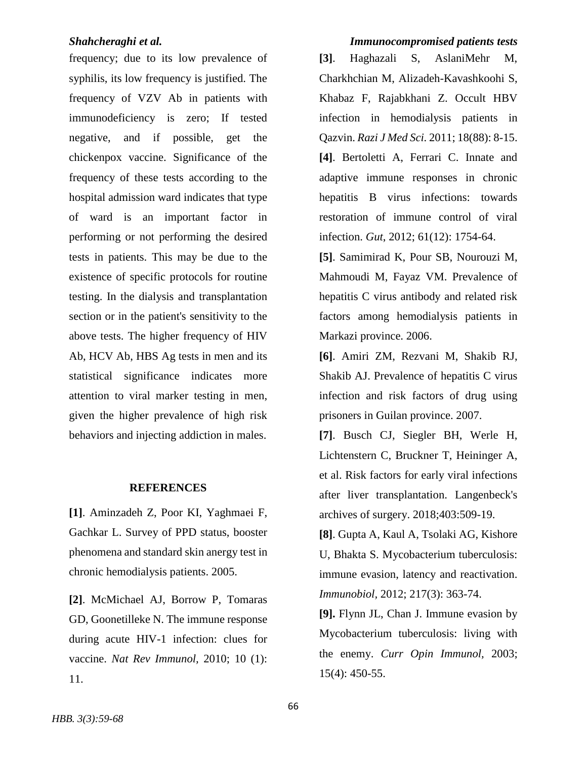frequency; due to its low prevalence of syphilis, its low frequency is justified. The frequency of VZV Ab in patients with immunodeficiency is zero; If tested negative, and if possible, get the chickenpox vaccine. Significance of the frequency of these tests according to the hospital admission ward indicates that type of ward is an important factor in performing or not performing the desired tests in patients. This may be due to the existence of specific protocols for routine testing. In the dialysis and transplantation section or in the patient's sensitivity to the above tests. The higher frequency of HIV Ab, HCV Ab, HBS Ag tests in men and its statistical significance indicates more attention to viral marker testing in men, given the higher prevalence of high risk behaviors and injecting addiction in males.

### **REFERENCES**

**[1]**. Aminzadeh Z, Poor KI, Yaghmaei F, Gachkar L. Survey of PPD status, booster phenomena and standard skin anergy test in chronic hemodialysis patients. 2005.

**[2]**. McMichael AJ, Borrow P, Tomaras GD, Goonetilleke N. The immune response during acute HIV-1 infection: clues for vaccine. *Nat Rev Immunol,* 2010; 10 (1): 11.

### *Shahcheraghi et al. Immunocompromised patients tests*

**[3]**. Haghazali S, AslaniMehr M, Charkhchian M, Alizadeh-Kavashkoohi S, Khabaz F, Rajabkhani Z. Occult HBV infection in hemodialysis patients in Qazvin. *Razi J Med Sci.* 2011; 18(88): 8-15. **[4]**. Bertoletti A, Ferrari C. Innate and adaptive immune responses in chronic hepatitis B virus infections: towards restoration of immune control of viral infection. *Gut*, 2012; 61(12): 1754-64.

**[5]**. Samimirad K, Pour SB, Nourouzi M, Mahmoudi M, Fayaz VM. Prevalence of hepatitis C virus antibody and related risk factors among hemodialysis patients in Markazi province. 2006.

**[6]**. Amiri ZM, Rezvani M, Shakib RJ, Shakib AJ. Prevalence of hepatitis C virus infection and risk factors of drug using prisoners in Guilan province. 2007.

**[7]**. Busch CJ, Siegler BH, Werle H, Lichtenstern C, Bruckner T, Heininger A, et al. Risk factors for early viral infections after liver transplantation. Langenbeck's archives of surgery. 2018;403:509-19.

**[8]**. Gupta A, Kaul A, Tsolaki AG, Kishore U, Bhakta S. Mycobacterium tuberculosis: immune evasion, latency and reactivation. *Immunobiol,* 2012; 217(3): 363-74.

**[9].** Flynn JL, Chan J. Immune evasion by Mycobacterium tuberculosis: living with the enemy. *Curr Opin Immunol,* 2003; 15(4): 450-55.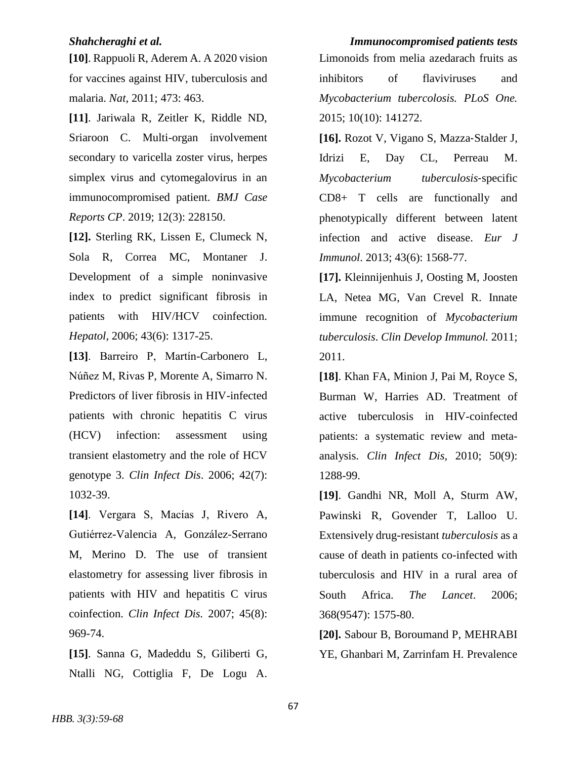**[10]**. Rappuoli R, Aderem A. A 2020 vision for vaccines against HIV, tuberculosis and malaria. *Nat,* 2011; 473: 463.

**[11]**. Jariwala R, Zeitler K, Riddle ND, Sriaroon C. Multi-organ involvement secondary to varicella zoster virus, herpes simplex virus and cytomegalovirus in an immunocompromised patient. *BMJ Case Reports CP*. 2019; 12(3): 228150.

**[12].** Sterling RK, Lissen E, Clumeck N, Sola R, Correa MC, Montaner J. Development of a simple noninvasive index to predict significant fibrosis in patients with HIV/HCV coinfection. *Hepatol,* 2006; 43(6): 1317-25.

**[13]**. Barreiro P, Martín-Carbonero L, Núñez M, Rivas P, Morente A, Simarro N. Predictors of liver fibrosis in HIV-infected patients with chronic hepatitis C virus (HCV) infection: assessment using transient elastometry and the role of HCV genotype 3. *Clin Infect Dis*. 2006; 42(7): 1032-39.

**[14]**. Vergara S, Macías J, Rivero A, Gutiérrez-Valencia A, González-Serrano M, Merino D. The use of transient elastometry for assessing liver fibrosis in patients with HIV and hepatitis C virus coinfection. *Clin Infect Dis.* 2007; 45(8): 969-74.

**[15]**. Sanna G, Madeddu S, Giliberti G, Ntalli NG, Cottiglia F, De Logu A.

*Shahcheraghi et al. Immunocompromised patients tests* Limonoids from melia azedarach fruits as inhibitors of flaviviruses and *Mycobacterium tubercolosis. PLoS One.* 2015; 10(10): 141272.

> **[16].** Rozot V, Vigano S, Mazza‐Stalder J, Idrizi E, Day CL, Perreau M. *Mycobacterium tuberculosis*‐specific CD8+ T cells are functionally and phenotypically different between latent infection and active disease. *Eur J Immunol*. 2013; 43(6): 1568-77.

> **[17].** Kleinnijenhuis J, Oosting M, Joosten LA, Netea MG, Van Crevel R. Innate immune recognition of *Mycobacterium tuberculosis*. *Clin Develop Immunol.* 2011; 2011.

> **[18]**. Khan FA, Minion J, Pai M, Royce S, Burman W, Harries AD. Treatment of active tuberculosis in HIV-coinfected patients: a systematic review and metaanalysis. *Clin Infect Dis,* 2010; 50(9): 1288-99.

> **[19]**. Gandhi NR, Moll A, Sturm AW, Pawinski R, Govender T, Lalloo U. Extensively drug-resistant *tuberculosis* as a cause of death in patients co-infected with tuberculosis and HIV in a rural area of South Africa. *The Lancet*. 2006; 368(9547): 1575-80.

> **[20].** Sabour B, Boroumand P, MEHRABI YE, Ghanbari M, Zarrinfam H. Prevalence